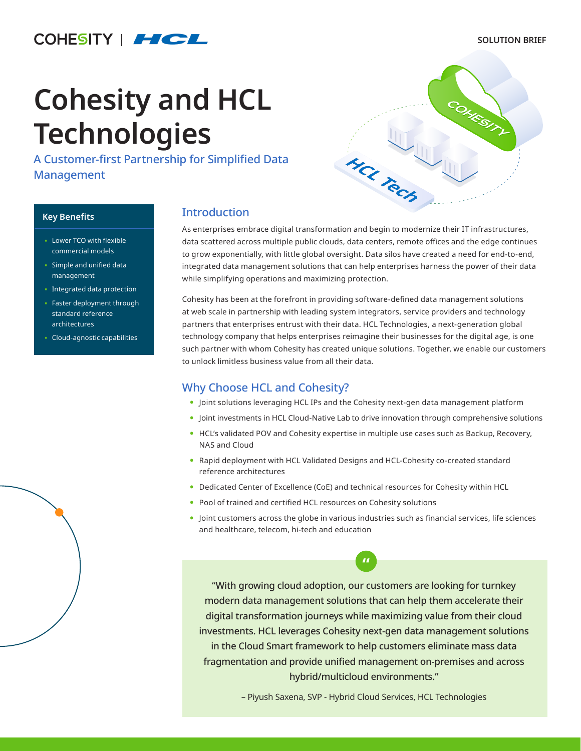# COHESITY | HCL

#### **SOLUTION BRIEF**

# **Cohesity and HCL Technologies**

A Customer-first Partnership for Simplified Data Management



#### **Key Benefits**

- Lower TCO with flexible commercial models
- Simple and unified data management
- Integrated data protection
- Faster deployment through standard reference architectures
- Cloud-agnostic capabilities

# **Introduction**

As enterprises embrace digital transformation and begin to modernize their IT infrastructures, data scattered across multiple public clouds, data centers, remote offices and the edge continues to grow exponentially, with little global oversight. Data silos have created a need for end-to-end, integrated data management solutions that can help enterprises harness the power of their data while simplifying operations and maximizing protection.

Cohesity has been at the forefront in providing software-defined data management solutions at web scale in partnership with leading system integrators, service providers and technology partners that enterprises entrust with their data. HCL Technologies, a next-generation global technology company that helps enterprises reimagine their businesses for the digital age, is one such partner with whom Cohesity has created unique solutions. Together, we enable our customers to unlock limitless business value from all their data.

# Why Choose HCL and Cohesity?

- **•** Joint solutions leveraging HCL IPs and the Cohesity next-gen data management platform
- **•** Joint investments in HCL Cloud-Native Lab to drive innovation through comprehensive solutions
- **•** HCL's validated POV and Cohesity expertise in multiple use cases such as Backup, Recovery, NAS and Cloud
- **•** Rapid deployment with HCL Validated Designs and HCL-Cohesity co-created standard reference architectures
- **•** Dedicated Center of Excellence (CoE) and technical resources for Cohesity within HCL
- **•** Pool of trained and certified HCL resources on Cohesity solutions
- **•** Joint customers across the globe in various industries such as financial services, life sciences and healthcare, telecom, hi-tech and education

**"**

"With growing cloud adoption, our customers are looking for turnkey modern data management solutions that can help them accelerate their digital transformation journeys while maximizing value from their cloud investments. HCL leverages Cohesity next-gen data management solutions in the Cloud Smart framework to help customers eliminate mass data fragmentation and provide unified management on-premises and across hybrid/multicloud environments."

– Piyush Saxena, SVP - Hybrid Cloud Services, HCL Technologies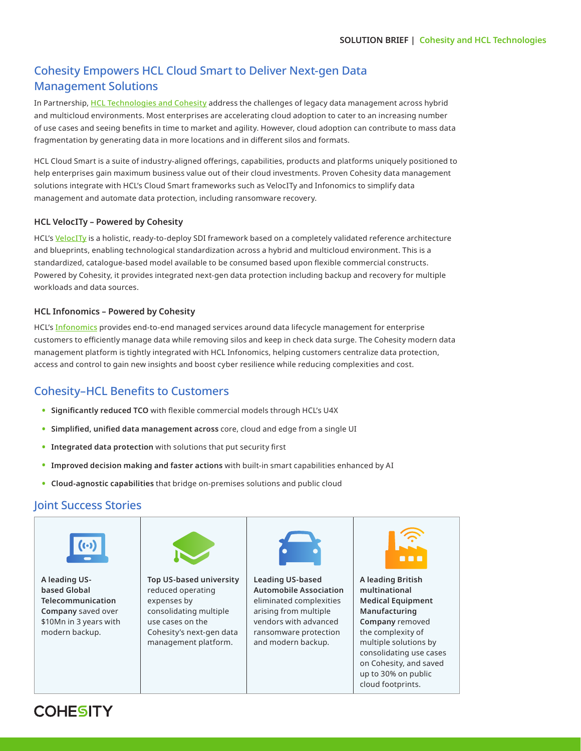# Cohesity Empowers HCL Cloud Smart to Deliver Next-gen Data Management Solutions

In Partnership, [HCL Technologies and Cohesity](https://www.hcltech.com/about-us/alliances/cohesity) address the challenges of legacy data management across hybrid and multicloud environments. Most enterprises are accelerating cloud adoption to cater to an increasing number of use cases and seeing benefits in time to market and agility. However, cloud adoption can contribute to mass data fragmentation by generating data in more locations and in different silos and formats.

HCL Cloud Smart is a suite of industry-aligned offerings, capabilities, products and platforms uniquely positioned to help enterprises gain maximum business value out of their cloud investments. Proven Cohesity data management solutions integrate with HCL's Cloud Smart frameworks such as VelocITy and Infonomics to simplify data management and automate data protection, including ransomware recovery.

#### **HCL VelocITy – Powered by Cohesity**

HCL's [VelocITy](https://www.hcltech.com/it-infrastructure-management-services/hybrid-cloud-services/velocity) is a holistic, ready-to-deploy SDI framework based on a completely validated reference architecture and blueprints, enabling technological standardization across a hybrid and multicloud environment. This is a standardized, catalogue-based model available to be consumed based upon flexible commercial constructs. Powered by Cohesity, it provides integrated next-gen data protection including backup and recovery for multiple workloads and data sources.

#### **HCL Infonomics – Powered by Cohesity**

HCL's **[Infonomics](https://www.hcltech.com/it-infrastructure-management/hybrid-cloud-services/infonomics)** provides end-to-end managed services around data lifecycle management for enterprise customers to efficiently manage data while removing silos and keep in check data surge. The Cohesity modern data management platform is tightly integrated with HCL Infonomics, helping customers centralize data protection, access and control to gain new insights and boost cyber resilience while reducing complexities and cost.

# Cohesity–HCL Benefits to Customers

- **• Significantly reduced TCO** with flexible commercial models through HCL's U4X
- **• Simplified, unified data management across** core, cloud and edge from a single UI
- **• Integrated data protection** with solutions that put security first
- **• Improved decision making and faster actions** with built-in smart capabilities enhanced by AI
- **• Cloud-agnostic capabilities** that bridge on-premises solutions and public cloud

# Joint Success Stories



**A leading USbased Global Telecommunication Company** saved over \$10Mn in 3 years with modern backup.



**Top US-based university** reduced operating expenses by consolidating multiple use cases on the Cohesity's next-gen data management platform.



**Leading US-based Automobile Association** eliminated complexities arising from multiple vendors with advanced ransomware protection and modern backup.



**A leading British multinational Medical Equipment Manufacturing Company** removed the complexity of multiple solutions by consolidating use cases on Cohesity, and saved up to 30% on public cloud footprints.